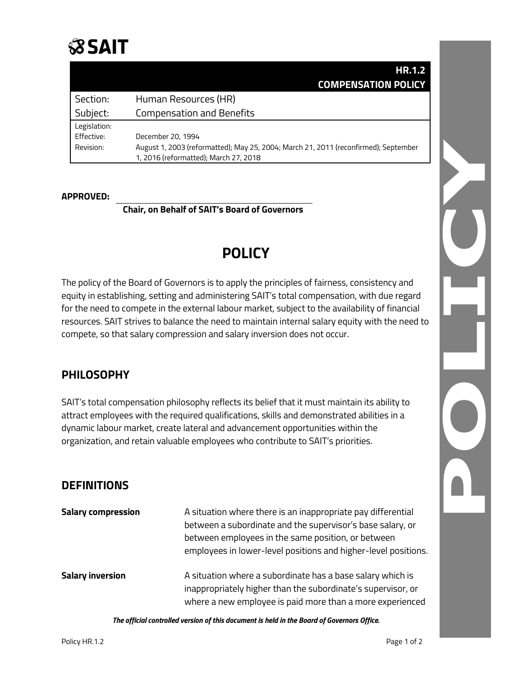

|              | <b>HR.1.2</b>                                                                       |
|--------------|-------------------------------------------------------------------------------------|
|              | <b>COMPENSATION POLICY</b>                                                          |
| Section:     | Human Resources (HR)                                                                |
| Subject:     | <b>Compensation and Benefits</b>                                                    |
| Legislation: |                                                                                     |
| Effective:   | December 20, 1994                                                                   |
| Revision:    | August 1, 2003 (reformatted); May 25, 2004; March 21, 2011 (reconfirmed); September |
|              | 1, 2016 (reformatted); March 27, 2018                                               |

#### **APPROVED:**

**Chair, on Behalf of SAIT's Board of Governors**

# **POLICY**

The policy of the Board of Governors is to apply the principles of fairness, consistency and equity in establishing, setting and administering SAIT's total compensation, with due regard for the need to compete in the external labour market, subject to the availability of financial resources. SAIT strives to balance the need to maintain internal salary equity with the need to compete, so that salary compression and salary inversion does not occur.

### **PHILOSOPHY**

SAIT's total compensation philosophy reflects its belief that it must maintain its ability to attract employees with the required qualifications, skills and demonstrated abilities in a dynamic labour market, create lateral and advancement opportunities within the organization, and retain valuable employees who contribute to SAIT's priorities.

### **DEFINITIONS**

| <b>Salary compression</b> | A situation where there is an inappropriate pay differential<br>between a subordinate and the supervisor's base salary, or<br>between employees in the same position, or between<br>employees in lower-level positions and higher-level positions. |
|---------------------------|----------------------------------------------------------------------------------------------------------------------------------------------------------------------------------------------------------------------------------------------------|
| <b>Salary inversion</b>   | A situation where a subordinate has a base salary which is<br>inappropriately higher than the subordinate's supervisor, or<br>where a new employee is paid more than a more experienced                                                            |

*The official controlled version of this document is held in the Board of Governors Office.*